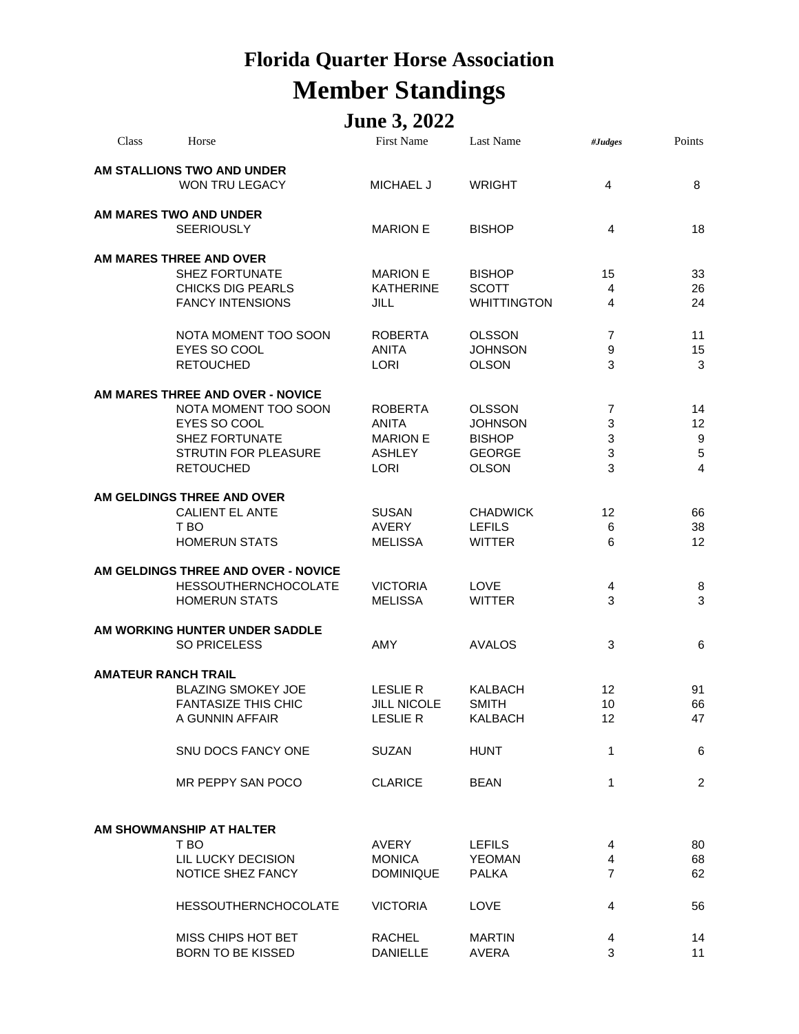## **Florida Quarter Horse Association Member Standings**

## **June 3, 2022**

| Class | Horse                                                   | <b>First Name</b>                 | <b>Last Name</b>                | #Judges        | Points           |
|-------|---------------------------------------------------------|-----------------------------------|---------------------------------|----------------|------------------|
|       | AM STALLIONS TWO AND UNDER<br>WON TRU LEGACY            | <b>MICHAEL J</b>                  | <b>WRIGHT</b>                   | $\overline{4}$ | 8                |
|       | AM MARES TWO AND UNDER<br><b>SEERIOUSLY</b>             | <b>MARION E</b>                   | <b>BISHOP</b>                   | 4              | 18               |
|       | AM MARES THREE AND OVER<br><b>SHEZ FORTUNATE</b>        | <b>MARION E</b>                   | <b>BISHOP</b>                   | 15             | 33               |
|       | <b>CHICKS DIG PEARLS</b>                                | <b>KATHERINE</b>                  | <b>SCOTT</b>                    | 4              | 26               |
|       | <b>FANCY INTENSIONS</b>                                 | <b>JILL</b>                       | <b>WHITTINGTON</b>              | 4              | 24               |
|       | NOTA MOMENT TOO SOON                                    | <b>ROBERTA</b>                    | <b>OLSSON</b>                   | 7              | 11               |
|       | EYES SO COOL<br><b>RETOUCHED</b>                        | <b>ANITA</b><br><b>LORI</b>       | <b>JOHNSON</b><br><b>OLSON</b>  | 9<br>3         | 15<br>3          |
|       | AM MARES THREE AND OVER - NOVICE                        |                                   |                                 |                |                  |
|       | NOTA MOMENT TOO SOON<br>EYES SO COOL                    | <b>ROBERTA</b><br><b>ANITA</b>    | <b>OLSSON</b><br><b>JOHNSON</b> | 7<br>3         | 14<br>12         |
|       | <b>SHEZ FORTUNATE</b>                                   | <b>MARION E</b>                   | <b>BISHOP</b>                   | 3              | 9                |
|       | <b>STRUTIN FOR PLEASURE</b><br><b>RETOUCHED</b>         | <b>ASHLEY</b><br><b>LORI</b>      | <b>GEORGE</b><br><b>OLSON</b>   | 3<br>3         | $\mathbf 5$<br>4 |
|       |                                                         |                                   |                                 |                |                  |
|       | AM GELDINGS THREE AND OVER<br><b>CALIENT EL ANTE</b>    | <b>SUSAN</b>                      | <b>CHADWICK</b>                 | 12             | 66               |
|       | T BO                                                    | <b>AVERY</b>                      | <b>LEFILS</b>                   | 6              | 38               |
|       | <b>HOMERUN STATS</b>                                    | <b>MELISSA</b>                    | <b>WITTER</b>                   | 6              | 12               |
|       | AM GELDINGS THREE AND OVER - NOVICE                     |                                   |                                 |                |                  |
|       | <b>HESSOUTHERNCHOCOLATE</b><br><b>HOMERUN STATS</b>     | <b>VICTORIA</b><br><b>MELISSA</b> | <b>LOVE</b><br><b>WITTER</b>    | 4<br>3         | 8<br>3           |
|       | AM WORKING HUNTER UNDER SADDLE                          |                                   |                                 |                |                  |
|       | <b>SO PRICELESS</b>                                     | <b>AMY</b>                        | <b>AVALOS</b>                   | 3              | 6                |
|       | <b>AMATEUR RANCH TRAIL</b>                              |                                   |                                 |                |                  |
|       | <b>BLAZING SMOKEY JOE</b><br><b>FANTASIZE THIS CHIC</b> | <b>LESLIE R</b><br>JILL NICOLE    | <b>KALBACH</b><br><b>SMITH</b>  | 12<br>10       | 91<br>66         |
|       | A GUNNIN AFFAIR                                         | <b>LESLIE R</b>                   | <b>KALBACH</b>                  | 12             | 47               |
|       | SNU DOCS FANCY ONE                                      | <b>SUZAN</b>                      | <b>HUNT</b>                     | 1              | 6                |
|       | MR PEPPY SAN POCO                                       | <b>CLARICE</b>                    | <b>BEAN</b>                     | 1              | 2                |
|       |                                                         |                                   |                                 |                |                  |
|       | AM SHOWMANSHIP AT HALTER                                |                                   |                                 |                |                  |
|       | T BO<br>LIL LUCKY DECISION                              | AVERY<br><b>MONICA</b>            | <b>LEFILS</b><br><b>YEOMAN</b>  | 4<br>4         | 80<br>68         |
|       | NOTICE SHEZ FANCY                                       | <b>DOMINIQUE</b>                  | <b>PALKA</b>                    | 7              | 62               |
|       | <b>HESSOUTHERNCHOCOLATE</b>                             | <b>VICTORIA</b>                   | LOVE                            | 4              | 56               |
|       | MISS CHIPS HOT BET                                      | <b>RACHEL</b>                     | <b>MARTIN</b>                   | 4              | 14               |
|       | <b>BORN TO BE KISSED</b>                                | <b>DANIELLE</b>                   | AVERA                           | 3              | 11               |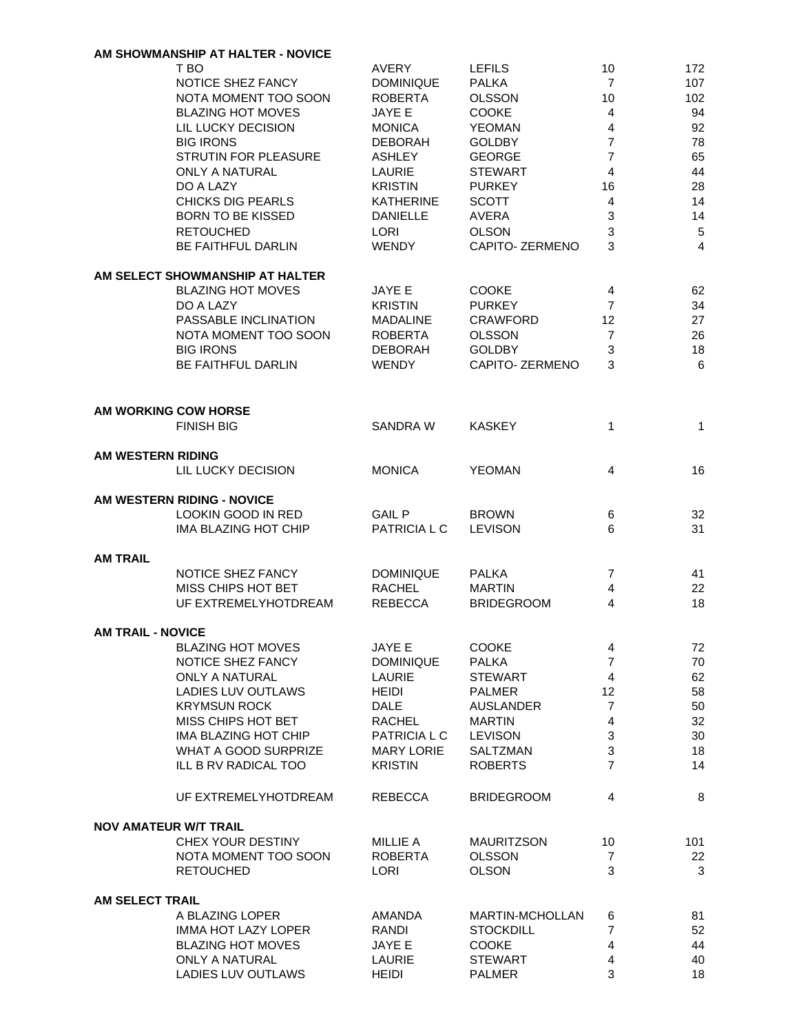|                              | AM SHOWMANSHIP AT HALTER - NOVICE |                    |                   |                         |     |
|------------------------------|-----------------------------------|--------------------|-------------------|-------------------------|-----|
|                              | T BO                              | <b>AVERY</b>       | <b>LEFILS</b>     | 10                      | 172 |
|                              | NOTICE SHEZ FANCY                 | <b>DOMINIQUE</b>   | <b>PALKA</b>      | $\overline{7}$          | 107 |
|                              | NOTA MOMENT TOO SOON              | <b>ROBERTA</b>     | <b>OLSSON</b>     | 10                      | 102 |
|                              | <b>BLAZING HOT MOVES</b>          | JAYE E             | <b>COOKE</b>      | 4                       | 94  |
|                              | LIL LUCKY DECISION                | <b>MONICA</b>      | <b>YEOMAN</b>     | $\overline{4}$          | 92  |
|                              | <b>BIG IRONS</b>                  | <b>DEBORAH</b>     | <b>GOLDBY</b>     | $\overline{7}$          | 78  |
|                              | <b>STRUTIN FOR PLEASURE</b>       | <b>ASHLEY</b>      | <b>GEORGE</b>     | $\overline{7}$          | 65  |
|                              | <b>ONLY A NATURAL</b>             | <b>LAURIE</b>      | <b>STEWART</b>    | 4                       | 44  |
|                              |                                   |                    |                   |                         |     |
|                              | DO A LAZY                         | <b>KRISTIN</b>     | <b>PURKEY</b>     | 16                      | 28  |
|                              | <b>CHICKS DIG PEARLS</b>          | <b>KATHERINE</b>   | <b>SCOTT</b>      | 4                       | 14  |
|                              | <b>BORN TO BE KISSED</b>          | <b>DANIELLE</b>    | AVERA             | 3                       | 14  |
|                              | <b>RETOUCHED</b>                  | <b>LORI</b>        | <b>OLSON</b>      | 3                       | 5   |
|                              | <b>BE FAITHFUL DARLIN</b>         | <b>WENDY</b>       | CAPITO- ZERMENO   | 3                       | 4   |
|                              | AM SELECT SHOWMANSHIP AT HALTER   |                    |                   |                         |     |
|                              | <b>BLAZING HOT MOVES</b>          | JAYE E             | <b>COOKE</b>      | 4                       | 62  |
|                              | DO A LAZY                         | <b>KRISTIN</b>     | <b>PURKEY</b>     | $\overline{7}$          | 34  |
|                              |                                   |                    | <b>CRAWFORD</b>   |                         |     |
|                              | PASSABLE INCLINATION              | <b>MADALINE</b>    |                   | 12                      | 27  |
|                              | NOTA MOMENT TOO SOON              | <b>ROBERTA</b>     | <b>OLSSON</b>     | $\overline{7}$          | 26  |
|                              | <b>BIG IRONS</b>                  | <b>DEBORAH</b>     | <b>GOLDBY</b>     | 3                       | 18  |
|                              | <b>BE FAITHFUL DARLIN</b>         | <b>WENDY</b>       | CAPITO- ZERMENO   | 3                       | 6   |
|                              |                                   |                    |                   |                         |     |
|                              | <b>AM WORKING COW HORSE</b>       |                    |                   |                         |     |
|                              | <b>FINISH BIG</b>                 | <b>SANDRA W</b>    | <b>KASKEY</b>     | 1                       | 1   |
| AM WESTERN RIDING            |                                   |                    |                   |                         |     |
|                              |                                   |                    |                   |                         |     |
|                              | LIL LUCKY DECISION                | <b>MONICA</b>      | <b>YEOMAN</b>     | 4                       | 16  |
|                              | AM WESTERN RIDING - NOVICE        |                    |                   |                         |     |
|                              | <b>LOOKIN GOOD IN RED</b>         | <b>GAIL P</b>      | <b>BROWN</b>      |                         | 32  |
|                              |                                   |                    |                   | 6<br>6                  |     |
|                              | IMA BLAZING HOT CHIP              | <b>PATRICIAL C</b> | <b>LEVISON</b>    |                         | 31  |
| <b>AM TRAIL</b>              |                                   |                    |                   |                         |     |
|                              | NOTICE SHEZ FANCY                 | <b>DOMINIQUE</b>   | <b>PALKA</b>      | 7                       | 41  |
|                              | MISS CHIPS HOT BET                | <b>RACHEL</b>      | <b>MARTIN</b>     | 4                       | 22  |
|                              | UF EXTREMELYHOTDREAM              | <b>REBECCA</b>     | <b>BRIDEGROOM</b> | 4                       | 18  |
|                              |                                   |                    |                   |                         |     |
| <b>AM TRAIL - NOVICE</b>     |                                   |                    |                   |                         |     |
|                              | <b>BLAZING HOT MOVES</b>          | JAYE E             | <b>COOKE</b>      | 4                       | 72  |
|                              | NOTICE SHEZ FANCY                 | <b>DOMINIQUE</b>   | <b>PALKA</b>      | $\overline{7}$          | 70  |
|                              | <b>ONLY A NATURAL</b>             | LAURIE             | <b>STEWART</b>    | $\overline{\mathbf{4}}$ | 62  |
|                              | LADIES LUV OUTLAWS                | <b>HEIDI</b>       | <b>PALMER</b>     | 12                      | 58  |
|                              | <b>KRYMSUN ROCK</b>               | <b>DALE</b>        | <b>AUSLANDER</b>  | $\overline{7}$          | 50  |
|                              | MISS CHIPS HOT BET                | <b>RACHEL</b>      | <b>MARTIN</b>     | 4                       | 32  |
|                              | IMA BLAZING HOT CHIP              | PATRICIA L C       | <b>LEVISON</b>    | 3                       | 30  |
|                              | WHAT A GOOD SURPRIZE              | <b>MARY LORIE</b>  | SALTZMAN          | 3                       | 18  |
|                              | ILL B RV RADICAL TOO              | <b>KRISTIN</b>     | <b>ROBERTS</b>    | $\overline{7}$          | 14  |
|                              |                                   |                    |                   |                         |     |
|                              | UF EXTREMELYHOTDREAM              | <b>REBECCA</b>     | <b>BRIDEGROOM</b> | 4                       | 8   |
| <b>NOV AMATEUR W/T TRAIL</b> |                                   |                    |                   |                         |     |
|                              | CHEX YOUR DESTINY                 | MILLIE A           | <b>MAURITZSON</b> | 10                      | 101 |
|                              | NOTA MOMENT TOO SOON              | <b>ROBERTA</b>     | <b>OLSSON</b>     | $\overline{7}$          | 22  |
|                              | <b>RETOUCHED</b>                  | <b>LORI</b>        | <b>OLSON</b>      | 3                       | 3   |
|                              |                                   |                    |                   |                         |     |
| <b>AM SELECT TRAIL</b>       | A BLAZING LOPER                   | AMANDA             | MARTIN-MCHOLLAN   |                         |     |
|                              |                                   |                    | <b>STOCKDILL</b>  | 6                       | 81  |
|                              | IMMA HOT LAZY LOPER               | RANDI              |                   | 7                       | 52  |
|                              | <b>BLAZING HOT MOVES</b>          | JAYE E             | <b>COOKE</b>      | 4                       | 44  |
|                              | <b>ONLY A NATURAL</b>             | LAURIE             | <b>STEWART</b>    | $\overline{4}$          | 40  |
|                              | LADIES LUV OUTLAWS                | <b>HEIDI</b>       | <b>PALMER</b>     | 3                       | 18  |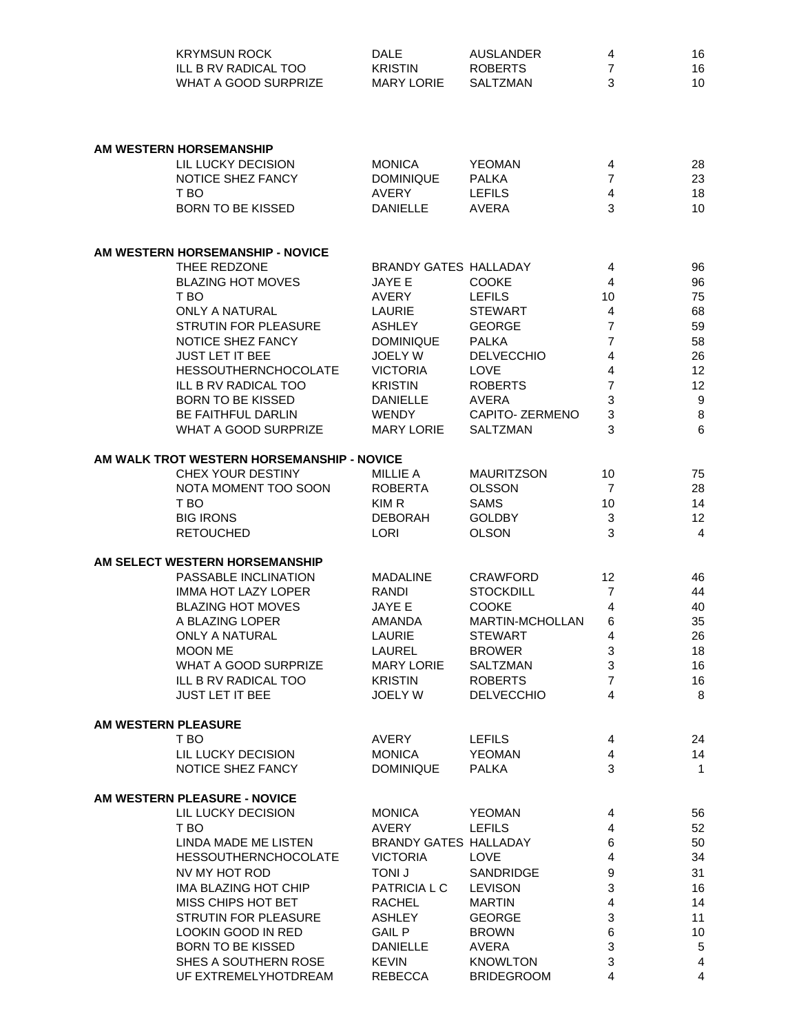|                     | <b>KRYMSUN ROCK</b>                        | <b>DALE</b>                  | <b>AUSLANDER</b>  | 4              | 16             |
|---------------------|--------------------------------------------|------------------------------|-------------------|----------------|----------------|
|                     | ILL B RV RADICAL TOO                       | <b>KRISTIN</b>               | <b>ROBERTS</b>    | $\overline{7}$ | 16             |
|                     | <b>WHAT A GOOD SURPRIZE</b>                | <b>MARY LORIE</b>            | SALTZMAN          | 3              | 10             |
|                     |                                            |                              |                   |                |                |
|                     |                                            |                              |                   |                |                |
|                     |                                            |                              |                   |                |                |
|                     | AM WESTERN HORSEMANSHIP                    |                              |                   |                |                |
|                     | LIL LUCKY DECISION                         | <b>MONICA</b>                | <b>YEOMAN</b>     | 4              | 28             |
|                     | NOTICE SHEZ FANCY                          | <b>DOMINIQUE</b>             | <b>PALKA</b>      | $\overline{7}$ | 23             |
|                     | T BO                                       | <b>AVERY</b>                 | <b>LEFILS</b>     | $\overline{4}$ | 18             |
|                     | <b>BORN TO BE KISSED</b>                   | <b>DANIELLE</b>              | <b>AVERA</b>      | 3              | 10             |
|                     |                                            |                              |                   |                |                |
|                     | AM WESTERN HORSEMANSHIP - NOVICE           |                              |                   |                |                |
|                     | THEE REDZONE                               | <b>BRANDY GATES HALLADAY</b> |                   | 4              | 96             |
|                     | <b>BLAZING HOT MOVES</b>                   | JAYE E                       | <b>COOKE</b>      | 4              | 96             |
|                     | T BO                                       | <b>AVERY</b>                 | <b>LEFILS</b>     | 10             | 75             |
|                     | <b>ONLY A NATURAL</b>                      | LAURIE                       | <b>STEWART</b>    | $\overline{4}$ | 68             |
|                     | STRUTIN FOR PLEASURE                       | <b>ASHLEY</b>                | <b>GEORGE</b>     | $\overline{7}$ | 59             |
|                     | NOTICE SHEZ FANCY                          | <b>DOMINIQUE</b>             | <b>PALKA</b>      | 7              | 58             |
|                     | <b>JUST LET IT BEE</b>                     | <b>JOELY W</b>               | <b>DELVECCHIO</b> | 4              | 26             |
|                     | <b>HESSOUTHERNCHOCOLATE</b>                | <b>VICTORIA</b>              | LOVE              | 4              | 12             |
|                     | ILL B RV RADICAL TOO                       | <b>KRISTIN</b>               | <b>ROBERTS</b>    | 7              | 12             |
|                     | <b>BORN TO BE KISSED</b>                   | <b>DANIELLE</b>              | <b>AVERA</b>      | 3              | 9              |
|                     | <b>BE FAITHFUL DARLIN</b>                  | <b>WENDY</b>                 | CAPITO-ZERMENO    | 3              | 8              |
|                     | WHAT A GOOD SURPRIZE                       | <b>MARY LORIE</b>            | SALTZMAN          | 3              | 6              |
|                     |                                            |                              |                   |                |                |
|                     | AM WALK TROT WESTERN HORSEMANSHIP - NOVICE |                              |                   |                |                |
|                     | CHEX YOUR DESTINY                          | <b>MILLIE A</b>              | <b>MAURITZSON</b> | 10             | 75             |
|                     | NOTA MOMENT TOO SOON                       | <b>ROBERTA</b>               | <b>OLSSON</b>     | $\overline{7}$ | 28             |
|                     | T BO                                       | KIM R                        | <b>SAMS</b>       | 10             | 14             |
|                     | <b>BIG IRONS</b>                           | <b>DEBORAH</b>               | <b>GOLDBY</b>     | 3              | 12             |
|                     | <b>RETOUCHED</b>                           | <b>LORI</b>                  | <b>OLSON</b>      | 3              | 4              |
|                     | AM SELECT WESTERN HORSEMANSHIP             |                              |                   |                |                |
|                     | PASSABLE INCLINATION                       | <b>MADALINE</b>              | <b>CRAWFORD</b>   | 12             | 46             |
|                     | <b>IMMA HOT LAZY LOPER</b>                 | RANDI                        | <b>STOCKDILL</b>  | $\overline{7}$ | 44             |
|                     | <b>BLAZING HOT MOVES</b>                   | <b>JAYE E</b>                | <b>COOKE</b>      | 4              | 40             |
|                     | A BLAZING LOPER                            | AMANDA                       | MARTIN-MCHOLLAN   | 6              | 35             |
|                     | <b>ONLY A NATURAL</b>                      | LAURIE                       | <b>STEWART</b>    | 4              | 26             |
|                     | <b>MOON ME</b>                             | LAUREL                       | <b>BROWER</b>     | 3              | 18             |
|                     |                                            |                              |                   | 3              | 16             |
|                     | WHAT A GOOD SURPRIZE                       | <b>MARY LORIE</b>            | SALTZMAN          |                |                |
|                     | ILL B RV RADICAL TOO                       | <b>KRISTIN</b>               | <b>ROBERTS</b>    | $\overline{7}$ | 16             |
|                     | <b>JUST LET IT BEE</b>                     | <b>JOELY W</b>               | <b>DELVECCHIO</b> | 4              | 8              |
| AM WESTERN PLEASURE |                                            |                              |                   |                |                |
|                     | T BO                                       | <b>AVERY</b>                 | <b>LEFILS</b>     | 4              | 24             |
|                     | LIL LUCKY DECISION                         | <b>MONICA</b>                | <b>YEOMAN</b>     | 4              | 14             |
|                     | NOTICE SHEZ FANCY                          | <b>DOMINIQUE</b>             | <b>PALKA</b>      | 3              | 1              |
|                     | AM WESTERN PLEASURE - NOVICE               |                              |                   |                |                |
|                     | LIL LUCKY DECISION                         | <b>MONICA</b>                | <b>YEOMAN</b>     | 4              | 56             |
|                     | T BO                                       | AVERY                        | <b>LEFILS</b>     | 4              | 52             |
|                     | LINDA MADE ME LISTEN                       | BRANDY GATES HALLADAY        |                   | 6              | 50             |
|                     | <b>HESSOUTHERNCHOCOLATE</b>                | <b>VICTORIA</b>              | <b>LOVE</b>       | $\overline{4}$ | 34             |
|                     | NV MY HOT ROD                              | <b>TONI J</b>                | SANDRIDGE         | 9              | 31             |
|                     |                                            |                              |                   |                |                |
|                     | <b>IMA BLAZING HOT CHIP</b>                | PATRICIA L C                 | <b>LEVISON</b>    | 3              | 16             |
|                     | MISS CHIPS HOT BET                         | <b>RACHEL</b>                | <b>MARTIN</b>     | 4              | 14             |
|                     | STRUTIN FOR PLEASURE                       | <b>ASHLEY</b>                | <b>GEORGE</b>     | 3              | 11             |
|                     | LOOKIN GOOD IN RED                         | <b>GAIL P</b>                | <b>BROWN</b>      | 6              | 10             |
|                     | <b>BORN TO BE KISSED</b>                   | <b>DANIELLE</b>              | AVERA             | 3              | 5              |
|                     | SHES A SOUTHERN ROSE                       | <b>KEVIN</b>                 | <b>KNOWLTON</b>   | $\mathbf 3$    | 4              |
|                     | UF EXTREMELYHOTDREAM                       | REBECCA                      | <b>BRIDEGROOM</b> | $\overline{4}$ | $\overline{4}$ |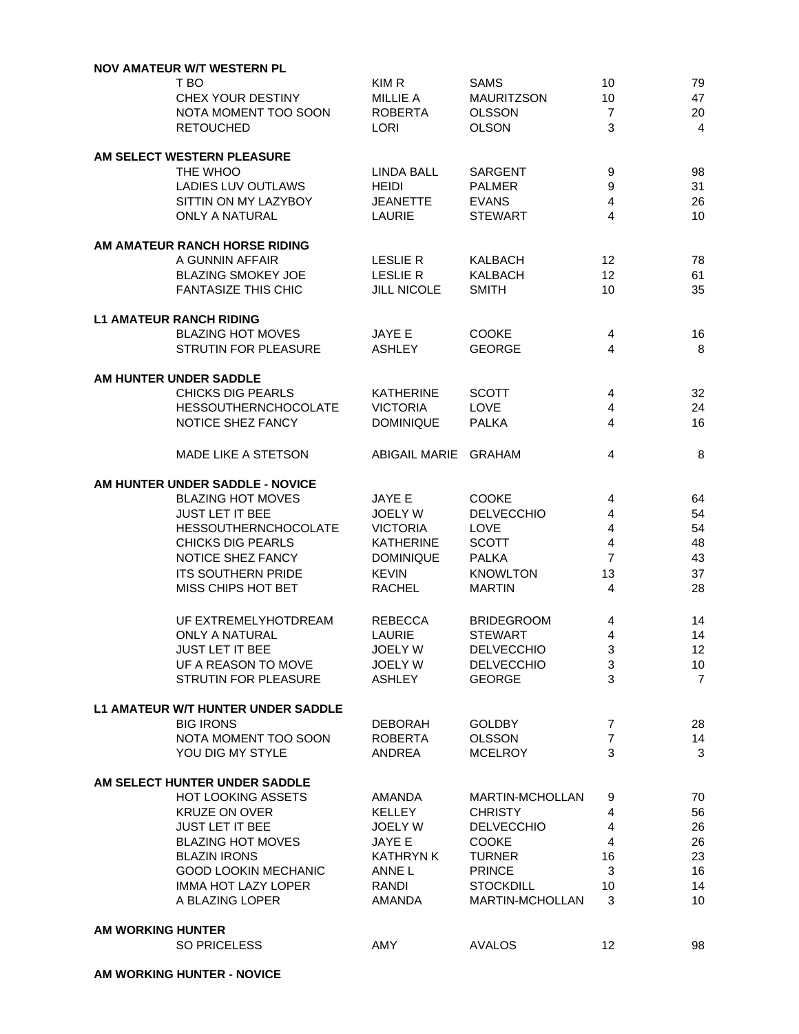|                   | <b>NOV AMATEUR W/T WESTERN PL</b>  |                      |                   |                  |                |
|-------------------|------------------------------------|----------------------|-------------------|------------------|----------------|
|                   | T BO                               | KIM R                | <b>SAMS</b>       | 10               | 79             |
|                   | CHEX YOUR DESTINY                  | <b>MILLIE A</b>      | <b>MAURITZSON</b> | 10               | 47             |
|                   | NOTA MOMENT TOO SOON               | <b>ROBERTA</b>       | <b>OLSSON</b>     | $\overline{7}$   | 20             |
|                   | <b>RETOUCHED</b>                   | <b>LORI</b>          | <b>OLSON</b>      | 3                | $\overline{4}$ |
|                   |                                    |                      |                   |                  |                |
|                   | AM SELECT WESTERN PLEASURE         |                      |                   |                  |                |
|                   | THE WHOO                           | <b>LINDA BALL</b>    | <b>SARGENT</b>    | 9                | 98             |
|                   | LADIES LUV OUTLAWS                 | <b>HEIDI</b>         | <b>PALMER</b>     | $\boldsymbol{9}$ | 31             |
|                   | SITTIN ON MY LAZYBOY               | <b>JEANETTE</b>      | <b>EVANS</b>      | $\overline{4}$   | 26             |
|                   | <b>ONLY A NATURAL</b>              | <b>LAURIE</b>        | <b>STEWART</b>    | 4                | 10             |
|                   |                                    |                      |                   |                  |                |
|                   | AM AMATEUR RANCH HORSE RIDING      |                      |                   |                  |                |
|                   | A GUNNIN AFFAIR                    | <b>LESLIE R</b>      | KALBACH           | 12               | 78             |
|                   |                                    |                      |                   |                  |                |
|                   | <b>BLAZING SMOKEY JOE</b>          | LESLIE R             | <b>KALBACH</b>    | 12               | 61             |
|                   | <b>FANTASIZE THIS CHIC</b>         | <b>JILL NICOLE</b>   | <b>SMITH</b>      | 10               | 35             |
|                   |                                    |                      |                   |                  |                |
|                   | <b>L1 AMATEUR RANCH RIDING</b>     |                      |                   |                  |                |
|                   | <b>BLAZING HOT MOVES</b>           | JAYE E               | <b>COOKE</b>      | 4                | 16             |
|                   | <b>STRUTIN FOR PLEASURE</b>        | <b>ASHLEY</b>        | <b>GEORGE</b>     | 4                | 8              |
|                   |                                    |                      |                   |                  |                |
|                   | AM HUNTER UNDER SADDLE             |                      |                   |                  |                |
|                   | <b>CHICKS DIG PEARLS</b>           | <b>KATHERINE</b>     | <b>SCOTT</b>      | 4                | 32             |
|                   | <b>HESSOUTHERNCHOCOLATE</b>        | <b>VICTORIA</b>      | <b>LOVE</b>       | 4                | 24             |
|                   | NOTICE SHEZ FANCY                  | <b>DOMINIQUE</b>     | <b>PALKA</b>      | $\overline{4}$   | 16             |
|                   |                                    |                      |                   |                  |                |
|                   | <b>MADE LIKE A STETSON</b>         | <b>ABIGAIL MARIE</b> | <b>GRAHAM</b>     | 4                | 8              |
|                   |                                    |                      |                   |                  |                |
|                   | AM HUNTER UNDER SADDLE - NOVICE    |                      |                   |                  |                |
|                   | <b>BLAZING HOT MOVES</b>           | JAYE E               | <b>COOKE</b>      | 4                | 64             |
|                   | JUST LET IT BEE                    | <b>JOELY W</b>       | <b>DELVECCHIO</b> | 4                | 54             |
|                   | <b>HESSOUTHERNCHOCOLATE</b>        | <b>VICTORIA</b>      | <b>LOVE</b>       | 4                | 54             |
|                   | <b>CHICKS DIG PEARLS</b>           | <b>KATHERINE</b>     | <b>SCOTT</b>      | 4                | 48             |
|                   | NOTICE SHEZ FANCY                  | <b>DOMINIQUE</b>     | <b>PALKA</b>      | $\overline{7}$   | 43             |
|                   |                                    |                      |                   |                  |                |
|                   | <b>ITS SOUTHERN PRIDE</b>          | <b>KEVIN</b>         | <b>KNOWLTON</b>   | 13               | 37             |
|                   | MISS CHIPS HOT BET                 | <b>RACHEL</b>        | <b>MARTIN</b>     | $\overline{4}$   | 28             |
|                   |                                    |                      |                   |                  |                |
|                   | UF EXTREMELYHOTDREAM               | <b>REBECCA</b>       | <b>BRIDEGROOM</b> | 4                | 14             |
|                   | <b>ONLY A NATURAL</b>              | <b>LAURIE</b>        | <b>STEWART</b>    | 4                | 14             |
|                   | <b>JUST LET IT BEE</b>             | <b>JOELY W</b>       | <b>DELVECCHIO</b> | 3                | 12             |
|                   | UF A REASON TO MOVE                | <b>JOELY W</b>       | <b>DELVECCHIO</b> | 3                | 10             |
|                   | STRUTIN FOR PLEASURE               | <b>ASHLEY</b>        | <b>GEORGE</b>     | 3                | $\overline{7}$ |
|                   |                                    |                      |                   |                  |                |
|                   | L1 AMATEUR W/T HUNTER UNDER SADDLE |                      |                   |                  |                |
|                   | <b>BIG IRONS</b>                   | <b>DEBORAH</b>       | <b>GOLDBY</b>     | 7                | 28             |
|                   | NOTA MOMENT TOO SOON               | <b>ROBERTA</b>       | <b>OLSSON</b>     | 7                | 14             |
|                   | YOU DIG MY STYLE                   | ANDREA               | <b>MCELROY</b>    | 3                | 3              |
|                   |                                    |                      |                   |                  |                |
|                   | AM SELECT HUNTER UNDER SADDLE      |                      |                   |                  |                |
|                   | <b>HOT LOOKING ASSETS</b>          | <b>AMANDA</b>        | MARTIN-MCHOLLAN   | 9                | 70             |
|                   | <b>KRUZE ON OVER</b>               | <b>KELLEY</b>        | <b>CHRISTY</b>    | 4                | 56             |
|                   | JUST LET IT BEE                    | <b>JOELY W</b>       | <b>DELVECCHIO</b> | 4                | 26             |
|                   | <b>BLAZING HOT MOVES</b>           | JAYE E               | <b>COOKE</b>      | $\overline{4}$   | 26             |
|                   | <b>BLAZIN IRONS</b>                | <b>KATHRYN K</b>     | <b>TURNER</b>     | 16               | 23             |
|                   | <b>GOOD LOOKIN MECHANIC</b>        | ANNE L               | <b>PRINCE</b>     | 3                | 16             |
|                   |                                    |                      |                   |                  |                |
|                   | <b>IMMA HOT LAZY LOPER</b>         | RANDI                | <b>STOCKDILL</b>  | 10               | 14             |
|                   | A BLAZING LOPER                    | AMANDA               | MARTIN-MCHOLLAN   | 3                | 10             |
|                   |                                    |                      |                   |                  |                |
| AM WORKING HUNTER |                                    |                      |                   |                  |                |
|                   | <b>SO PRICELESS</b>                | <b>AMY</b>           | <b>AVALOS</b>     | 12               | 98             |
|                   |                                    |                      |                   |                  |                |

**AM WORKING HUNTER - NOVICE**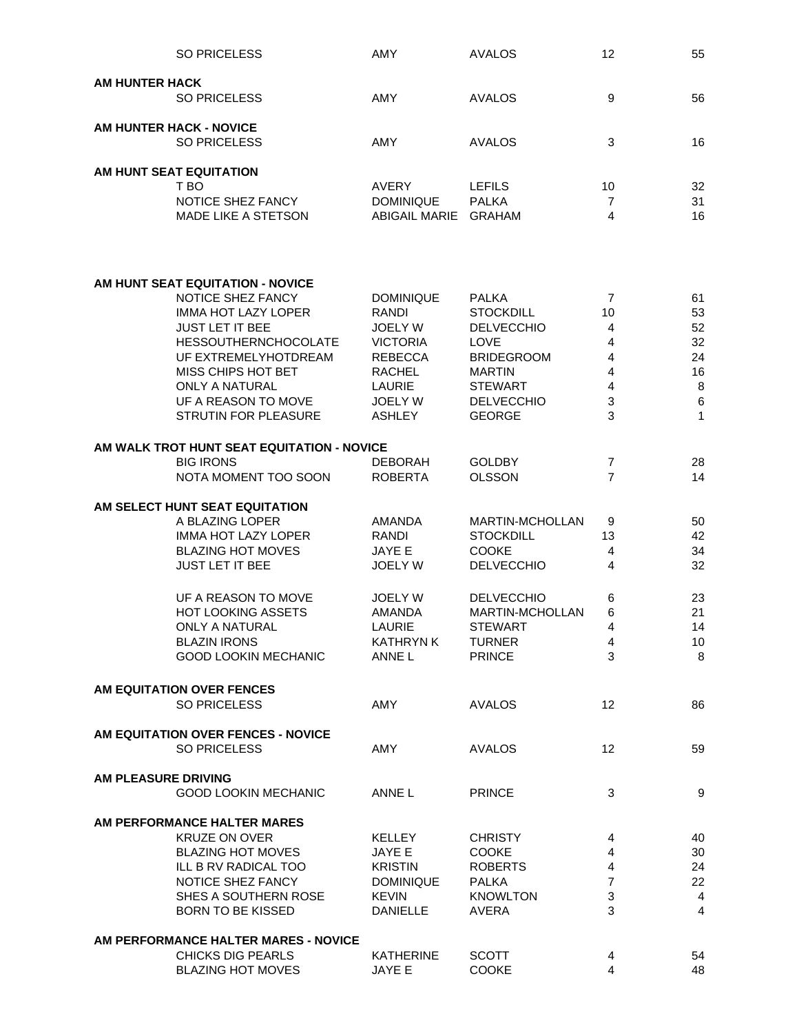|                       | <b>SO PRICELESS</b>                        | AMY                              | <b>AVALOS</b>                  | 12                               | 55              |
|-----------------------|--------------------------------------------|----------------------------------|--------------------------------|----------------------------------|-----------------|
|                       |                                            |                                  |                                |                                  |                 |
| <b>AM HUNTER HACK</b> | <b>SO PRICELESS</b>                        | <b>AMY</b>                       | AVALOS                         | 9                                | 56              |
|                       |                                            |                                  |                                |                                  |                 |
|                       | <b>AM HUNTER HACK - NOVICE</b>             |                                  |                                |                                  |                 |
|                       | <b>SO PRICELESS</b>                        | <b>AMY</b>                       | AVALOS                         | 3                                | 16              |
|                       |                                            |                                  |                                |                                  |                 |
|                       | AM HUNT SEAT EQUITATION                    |                                  |                                |                                  |                 |
|                       | T BO<br>NOTICE SHEZ FANCY                  | <b>AVERY</b><br><b>DOMINIQUE</b> | <b>LEFILS</b><br><b>PALKA</b>  | 10<br>$\overline{7}$             | 32<br>31        |
|                       | MADE LIKE A STETSON                        | ABIGAIL MARIE                    | <b>GRAHAM</b>                  | 4                                | 16              |
|                       |                                            |                                  |                                |                                  |                 |
|                       |                                            |                                  |                                |                                  |                 |
|                       | AM HUNT SEAT EQUITATION - NOVICE           |                                  |                                |                                  |                 |
|                       | NOTICE SHEZ FANCY                          | <b>DOMINIQUE</b>                 | <b>PALKA</b>                   | $\overline{7}$                   | 61              |
|                       | <b>IMMA HOT LAZY LOPER</b>                 | RANDI                            | <b>STOCKDILL</b>               | 10                               | 53              |
|                       | <b>JUST LET IT BEE</b>                     | <b>JOELY W</b>                   | <b>DELVECCHIO</b>              | $\overline{4}$                   | 52              |
|                       | <b>HESSOUTHERNCHOCOLATE</b>                | <b>VICTORIA</b>                  | <b>LOVE</b>                    | $\overline{4}$                   | 32              |
|                       | UF EXTREMELYHOTDREAM                       | <b>REBECCA</b>                   | <b>BRIDEGROOM</b>              | 4                                | 24              |
|                       | MISS CHIPS HOT BET                         | <b>RACHEL</b>                    | <b>MARTIN</b>                  | 4                                | 16              |
|                       | ONLY A NATURAL                             | <b>LAURIE</b>                    | <b>STEWART</b>                 | 4                                | $\bf 8$         |
|                       | UF A REASON TO MOVE                        | <b>JOELY W</b>                   | <b>DELVECCHIO</b>              | 3                                | $\,6$           |
|                       | <b>STRUTIN FOR PLEASURE</b>                | <b>ASHLEY</b>                    | <b>GEORGE</b>                  | 3                                | $\mathbf{1}$    |
|                       |                                            |                                  |                                |                                  |                 |
|                       | AM WALK TROT HUNT SEAT EQUITATION - NOVICE |                                  |                                |                                  |                 |
|                       | <b>BIG IRONS</b><br>NOTA MOMENT TOO SOON   | <b>DEBORAH</b><br><b>ROBERTA</b> | <b>GOLDBY</b><br><b>OLSSON</b> | $\overline{7}$<br>$\overline{7}$ | 28<br>14        |
|                       |                                            |                                  |                                |                                  |                 |
|                       | AM SELECT HUNT SEAT EQUITATION             |                                  |                                |                                  |                 |
|                       | A BLAZING LOPER                            | <b>AMANDA</b>                    | MARTIN-MCHOLLAN                | 9                                | 50              |
|                       | <b>IMMA HOT LAZY LOPER</b>                 | RANDI                            | <b>STOCKDILL</b>               | 13                               | 42              |
|                       | <b>BLAZING HOT MOVES</b>                   | <b>JAYE E</b>                    | <b>COOKE</b>                   | 4                                | 34              |
|                       | <b>JUST LET IT BEE</b>                     | <b>JOELY W</b>                   | <b>DELVECCHIO</b>              | 4                                | 32              |
|                       |                                            |                                  |                                |                                  |                 |
|                       | UF A REASON TO MOVE                        | <b>JOELY W</b>                   | <b>DELVECCHIO</b>              | 6                                | 23              |
|                       | <b>HOT LOOKING ASSETS</b>                  | <b>AMANDA</b>                    | <b>MARTIN-MCHOLLAN</b>         | 6                                | 21              |
|                       | <b>ONLY A NATURAL</b>                      | <b>LAURIE</b>                    | <b>STEWART</b>                 | 4                                | 14              |
|                       | <b>BLAZIN IRONS</b>                        | <b>KATHRYN K</b>                 | <b>TURNER</b>                  | 4                                | 10 <sup>°</sup> |
|                       | <b>GOOD LOOKIN MECHANIC</b>                | ANNE L                           | <b>PRINCE</b>                  | 3                                | 8               |
|                       | AM EQUITATION OVER FENCES                  |                                  |                                |                                  |                 |
|                       | <b>SO PRICELESS</b>                        | <b>AMY</b>                       | <b>AVALOS</b>                  | $12 \overline{ }$                | 86              |
|                       |                                            |                                  |                                |                                  |                 |
|                       | AM EQUITATION OVER FENCES - NOVICE         |                                  |                                |                                  |                 |
|                       | <b>SO PRICELESS</b>                        | AMY                              | <b>AVALOS</b>                  | 12                               | 59              |
| AM PLEASURE DRIVING   |                                            |                                  |                                |                                  |                 |
|                       | <b>GOOD LOOKIN MECHANIC</b>                | ANNE L                           | <b>PRINCE</b>                  | 3                                | 9               |
|                       |                                            |                                  |                                |                                  |                 |
|                       | AM PERFORMANCE HALTER MARES                |                                  |                                |                                  |                 |
|                       | <b>KRUZE ON OVER</b>                       | <b>KELLEY</b>                    | <b>CHRISTY</b>                 | 4                                | 40              |
|                       | <b>BLAZING HOT MOVES</b>                   | JAYE E                           | <b>COOKE</b>                   | 4                                | 30              |
|                       | ILL B RV RADICAL TOO                       | <b>KRISTIN</b>                   | <b>ROBERTS</b>                 | $\overline{4}$                   | 24              |
|                       | NOTICE SHEZ FANCY                          | <b>DOMINIQUE</b>                 | <b>PALKA</b>                   | $\overline{7}$                   | 22              |
|                       | SHES A SOUTHERN ROSE                       | <b>KEVIN</b>                     | <b>KNOWLTON</b>                | 3                                | $\overline{4}$  |
|                       | <b>BORN TO BE KISSED</b>                   | <b>DANIELLE</b>                  | <b>AVERA</b>                   | 3                                | $\overline{4}$  |
|                       | AM PERFORMANCE HALTER MARES - NOVICE       |                                  |                                |                                  |                 |
|                       | <b>CHICKS DIG PEARLS</b>                   | <b>KATHERINE</b>                 | <b>SCOTT</b>                   | 4                                | 54              |
|                       | <b>BLAZING HOT MOVES</b>                   | JAYE E                           | <b>COOKE</b>                   | 4                                | 48              |
|                       |                                            |                                  |                                |                                  |                 |